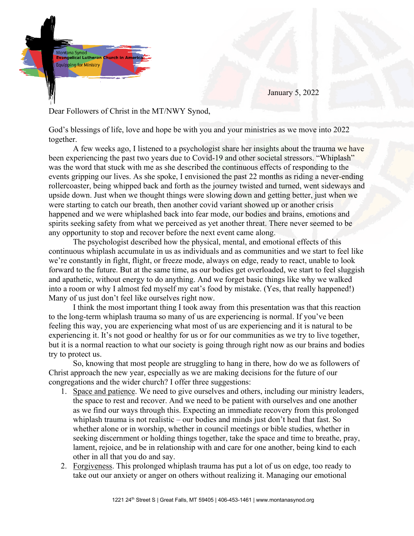

January 5, 2022

## Dear Followers of Christ in the MT/NWY Synod,

God's blessings of life, love and hope be with you and your ministries as we move into 2022 together.

A few weeks ago, I listened to a psychologist share her insights about the trauma we have been experiencing the past two years due to Covid-19 and other societal stressors. "Whiplash" was the word that stuck with me as she described the continuous effects of responding to the events gripping our lives. As she spoke, I envisioned the past 22 months as riding a never-ending rollercoaster, being whipped back and forth as the journey twisted and turned, went sideways and upside down. Just when we thought things were slowing down and getting better, just when we were starting to catch our breath, then another covid variant showed up or another crisis happened and we were whiplashed back into fear mode, our bodies and brains, emotions and spirits seeking safety from what we perceived as yet another threat. There never seemed to be any opportunity to stop and recover before the next event came along.

The psychologist described how the physical, mental, and emotional effects of this continuous whiplash accumulate in us as individuals and as communities and we start to feel like we're constantly in fight, flight, or freeze mode, always on edge, ready to react, unable to look forward to the future. But at the same time, as our bodies get overloaded, we start to feel sluggish and apathetic, without energy to do anything. And we forget basic things like why we walked into a room or why I almost fed myself my cat's food by mistake. (Yes, that really happened!) Many of us just don't feel like ourselves right now.

I think the most important thing I took away from this presentation was that this reaction to the long-term whiplash trauma so many of us are experiencing is normal. If you've been feeling this way, you are experiencing what most of us are experiencing and it is natural to be experiencing it. It's not good or healthy for us or for our communities as we try to live together, but it is a normal reaction to what our society is going through right now as our brains and bodies try to protect us.

So, knowing that most people are struggling to hang in there, how do we as followers of Christ approach the new year, especially as we are making decisions for the future of our congregations and the wider church? I offer three suggestions:

- 1. Space and patience. We need to give ourselves and others, including our ministry leaders, the space to rest and recover. And we need to be patient with ourselves and one another as we find our ways through this. Expecting an immediate recovery from this prolonged whiplash trauma is not realistic – our bodies and minds just don't heal that fast. So whether alone or in worship, whether in council meetings or bible studies, whether in seeking discernment or holding things together, take the space and time to breathe, pray, lament, rejoice, and be in relationship with and care for one another, being kind to each other in all that you do and say.
- 2. Forgiveness. This prolonged whiplash trauma has put a lot of us on edge, too ready to take out our anxiety or anger on others without realizing it. Managing our emotional